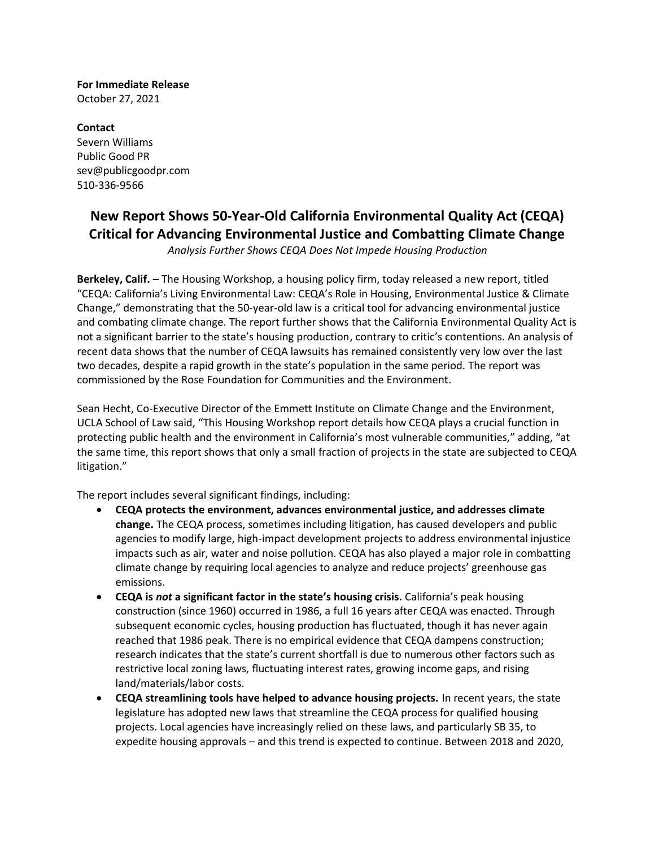**For Immediate Release** October 27, 2021

**Contact** Severn Williams Public Good PR sev@publicgoodpr.com 510-336-9566

## **New Report Shows 50-Year-Old California Environmental Quality Act (CEQA) Critical for Advancing Environmental Justice and Combatting Climate Change**

*Analysis Further Shows CEQA Does Not Impede Housing Production*

**Berkeley, Calif.** – The Housing Workshop, a housing policy firm, today released a new report, titled "CEQA: California's Living Environmental Law: CEQA's Role in Housing, Environmental Justice & Climate Change," demonstrating that the 50-year-old law is a critical tool for advancing environmental justice and combating climate change. The report further shows that the California Environmental Quality Act is not a significant barrier to the state's housing production, contrary to critic's contentions. An analysis of recent data shows that the number of CEQA lawsuits has remained consistently very low over the last two decades, despite a rapid growth in the state's population in the same period. The report was commissioned by the Rose Foundation for Communities and the Environment.

Sean Hecht, Co-Executive Director of the Emmett Institute on Climate Change and the Environment, UCLA School of Law said, "This Housing Workshop report details how CEQA plays a crucial function in protecting public health and the environment in California's most vulnerable communities," adding, "at the same time, this report shows that only a small fraction of projects in the state are subjected to CEQA litigation."

The report includes several significant findings, including:

- **CEQA protects the environment, advances environmental justice, and addresses climate change.** The CEQA process, sometimes including litigation, has caused developers and public agencies to modify large, high-impact development projects to address environmental injustice impacts such as air, water and noise pollution. CEQA has also played a major role in combatting climate change by requiring local agencies to analyze and reduce projects' greenhouse gas emissions.
- **CEQA is** *not* **a significant factor in the state's housing crisis.** California's peak housing construction (since 1960) occurred in 1986, a full 16 years after CEQA was enacted. Through subsequent economic cycles, housing production has fluctuated, though it has never again reached that 1986 peak. There is no empirical evidence that CEQA dampens construction; research indicates that the state's current shortfall is due to numerous other factors such as restrictive local zoning laws, fluctuating interest rates, growing income gaps, and rising land/materials/labor costs.
- **CEQA streamlining tools have helped to advance housing projects.** In recent years, the state legislature has adopted new laws that streamline the CEQA process for qualified housing projects. Local agencies have increasingly relied on these laws, and particularly SB 35, to expedite housing approvals – and this trend is expected to continue. Between 2018 and 2020,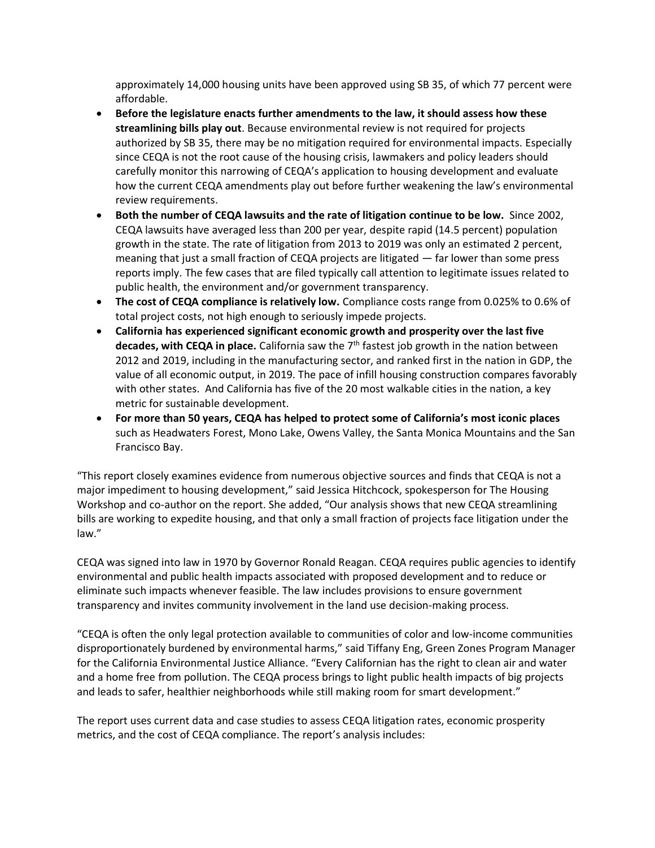approximately 14,000 housing units have been approved using SB 35, of which 77 percent were affordable.

- **Before the legislature enacts further amendments to the law, it should assess how these streamlining bills play out**. Because environmental review is not required for projects authorized by SB 35, there may be no mitigation required for environmental impacts. Especially since CEQA is not the root cause of the housing crisis, lawmakers and policy leaders should carefully monitor this narrowing of CEQA's application to housing development and evaluate how the current CEQA amendments play out before further weakening the law's environmental review requirements.
- **Both the number of CEQA lawsuits and the rate of litigation continue to be low.** Since 2002, CEQA lawsuits have averaged less than 200 per year, despite rapid (14.5 percent) population growth in the state. The rate of litigation from 2013 to 2019 was only an estimated 2 percent, meaning that just a small fraction of CEQA projects are litigated — far lower than some press reports imply. The few cases that are filed typically call attention to legitimate issues related to public health, the environment and/or government transparency.
- **The cost of CEQA compliance is relatively low.** Compliance costs range from 0.025% to 0.6% of total project costs, not high enough to seriously impede projects.
- **California has experienced significant economic growth and prosperity over the last five decades, with CEQA in place.** California saw the 7th fastest job growth in the nation between 2012 and 2019, including in the manufacturing sector, and ranked first in the nation in GDP, the value of all economic output, in 2019. The pace of infill housing construction compares favorably with other states. And California has five of the 20 most walkable cities in the nation, a key metric for sustainable development.
- **For more than 50 years, CEQA has helped to protect some of California's most iconic places** such as Headwaters Forest, Mono Lake, Owens Valley, the Santa Monica Mountains and the San Francisco Bay.

"This report closely examines evidence from numerous objective sources and finds that CEQA is not a major impediment to housing development," said Jessica Hitchcock, spokesperson for The Housing Workshop and co-author on the report. She added, "Our analysis shows that new CEQA streamlining bills are working to expedite housing, and that only a small fraction of projects face litigation under the law."

CEQA was signed into law in 1970 by Governor Ronald Reagan. CEQA requires public agencies to identify environmental and public health impacts associated with proposed development and to reduce or eliminate such impacts whenever feasible. The law includes provisions to ensure government transparency and invites community involvement in the land use decision-making process.

"CEQA is often the only legal protection available to communities of color and low-income communities disproportionately burdened by environmental harms," said Tiffany Eng, Green Zones Program Manager for the California Environmental Justice Alliance. "Every Californian has the right to clean air and water and a home free from pollution. The CEQA process brings to light public health impacts of big projects and leads to safer, healthier neighborhoods while still making room for smart development."

The report uses current data and case studies to assess CEQA litigation rates, economic prosperity metrics, and the cost of CEQA compliance. The report's analysis includes: